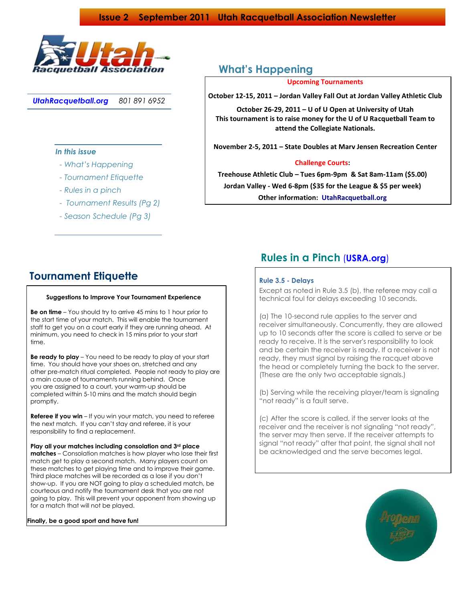

*UtahRacquetball.org 801 891 6952*

### *In this issue*

- *- What's Happening*
- *- Tournament Etiquette*
- *- Rules in a pinch*
- *- Tournament Results (Pg 2)*
- *- Season Schedule (Pg 3)*

## **What's Happening**

### **Upcoming Tournaments**

**October 12-15, 2011 – Jordan Valley Fall Out at Jordan Valley Athletic Club**

**October 26-29, 2011 – U of U Open at University of Utah This tournament is to raise money for the U of U Racquetball Team to attend the Collegiate Nationals.**

**November 2-5, 2011 – State Doubles at Marv Jensen Recreation Center**

### **Challenge Courts:**

**Treehouse Athletic Club – Tues 6pm-9pm & Sat 8am-11am (\$5.00) Jordan Valley - Wed 6-8pm (\$35 for the League & \$5 per week) Other information: UtahRacquetball.org** 

## **Tournament Etiquette**

# **Suggestions to Improve Your Tournament Experience Honored**

 **Be on time** – You should try to arrive 45 mins to 1 hour prior to the start time of your match. This will enable the tournament staff to get you on a court early if they are running ahead. At minimum, you need to check in 15 mins prior to your start time.

 **Be ready to play** – You need to be ready to play at your start time. You should have your shoes on, stretched and any other pre-match ritual completed. People not ready to play are a main cause of tournaments running behind. Once you are assigned to a court, your warm-up should be completed within 5-10 mins and the match should begin promptly.

**Referee if you win** – If you win your match, you need to referee the next match. If you can't stay and referee, it is your responsibility to find a replacement.

 **Play all your matches including consolation and 3rd place matches** – Consolation matches is how player who lose their first match get to play a second match. Many players count on these matches to get playing time and to improve their game. Third place matches will be recorded as a lose if you don't show-up. If you are NOT going to play a scheduled match, be courteous and notify the tournament desk that you are not going to play. This will prevent your opponent from showing up for a match that will not be played.

#### **Finally, be a good sport and have fun!**

# **Rules in a Pinch** (**USRA.org**)

### **Rule 3.5 - Delays**

 Except as noted in Rule 3.5 (b), the referee may call a technical foul for delays exceeding 10 seconds.

 (a) The 10-second rule applies to the server and receiver simultaneously. Concurrently, they are allowed up to 10 seconds after the score is called to serve or be ready to receive. It is the server's responsibility to look and be certain the receiver is ready. If a receiver is not ready, they must signal by raising the racquet above the head or completely turning the back to the server. (These are the only two acceptable signals.)

 (b) Serving while the receiving player/team is signaling "not ready" is a fault serve.

 (c) After the score is called, if the server looks at the receiver and the receiver is not signaling "not ready", the server may then serve. If the receiver attempts to signal "not ready" after that point, the signal shall not be acknowledged and the serve becomes legal.

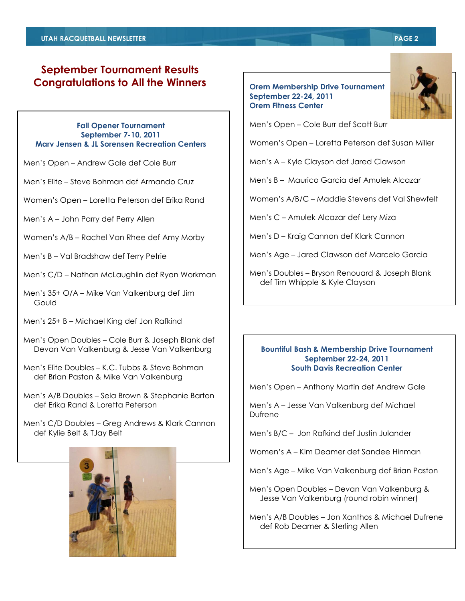### **September Tournament Results Congratulations to All the Winners**

### **Fall Opener Tournament September 7-10, 2011 Marv Jensen & JL Sorensen Recreation Centers**

Men's Open – Andrew Gale def Cole Burr

Men's Elite – Steve Bohman def Armando Cruz

Women's Open – Loretta Peterson def Erika Rand

Men's A – John Parry def Perry Allen

Women's A/B – Rachel Van Rhee def Amy Morby

Men's B – Val Bradshaw def Terry Petrie

Men's C/D – Nathan McLaughlin def Ryan Workman

Men's 35+ O/A – Mike Van Valkenburg def Jim **Gould** 

Men's 25+ B – Michael King def Jon Rafkind

Men's Open Doubles – Cole Burr & Joseph Blank def Devan Van Valkenburg & Jesse Van Valkenburg

Men's Elite Doubles – K.C. Tubbs & Steve Bohman def Brian Paston & Mike Van Valkenburg

Men's A/B Doubles – Sela Brown & Stephanie Barton def Erika Rand & Loretta Peterson

Men's C/D Doubles – Greg Andrews & Klark Cannon def Kylie Belt & TJay Belt



### **Orem Membership Drive Tournament September 22-24, 2011 Orem Fitness Center**



Men's Open – Cole Burr def Scott Burr

Women's Open – Loretta Peterson def Susan Miller

Men's A – Kyle Clayson def Jared Clawson

Men's B – Maurico Garcia def Amulek Alcazar

Women's A/B/C – Maddie Stevens def Val Shewfelt

Men's C – Amulek Alcazar def Lery Miza

Men's D – Kraig Cannon def Klark Cannon

Men's Age – Jared Clawson def Marcelo Garcia

Men's Doubles – Bryson Renouard & Joseph Blank def Tim Whipple & Kyle Clayson

### **Bountiful Bash & Membership Drive Tournament September 22-24, 2011 South Davis Recreation Center**

Men's Open – Anthony Martin def Andrew Gale

Men's A – Jesse Van Valkenburg def Michael Dufrene

Men's B/C – Jon Rafkind def Justin Julander

Women's A – Kim Deamer def Sandee Hinman

Men's Age – Mike Van Valkenburg def Brian Paston

Men's Open Doubles – Devan Van Valkenburg & Jesse Van Valkenburg (round robin winner)

Men's A/B Doubles – Jon Xanthos & Michael Dufrene def Rob Deamer & Sterling Allen